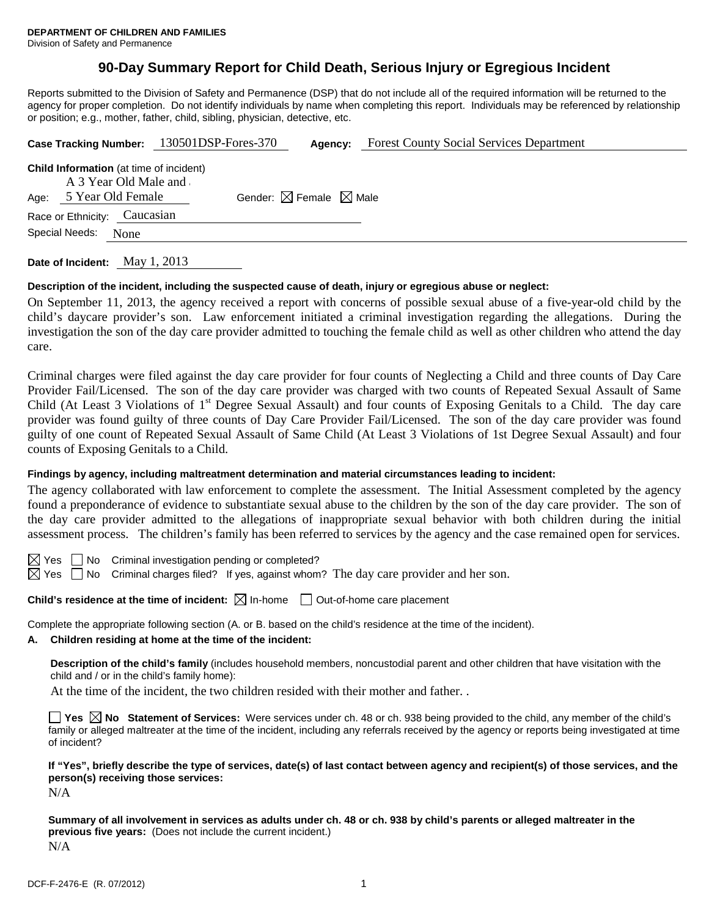Division of Safety and Permanence

# **90-Day Summary Report for Child Death, Serious Injury or Egregious Incident**

Reports submitted to the Division of Safety and Permanence (DSP) that do not include all of the required information will be returned to the agency for proper completion. Do not identify individuals by name when completing this report. Individuals may be referenced by relationship or position; e.g., mother, father, child, sibling, physician, detective, etc.

|      |                                                                                              | Case Tracking Number: 130501DSP-Fores-370 | Agency:                                     | <b>Forest County Social Services Department</b> |
|------|----------------------------------------------------------------------------------------------|-------------------------------------------|---------------------------------------------|-------------------------------------------------|
| Age: | <b>Child Information</b> (at time of incident)<br>A 3 Year Old Male and<br>5 Year Old Female |                                           | Gender: $\boxtimes$ Female $\boxtimes$ Male |                                                 |
|      | Race or Ethnicity: Caucasian<br>Special Needs:<br>None                                       |                                           |                                             |                                                 |
|      |                                                                                              |                                           |                                             |                                                 |

**Date of Incident:** May 1, 2013

## **Description of the incident, including the suspected cause of death, injury or egregious abuse or neglect:**

On September 11, 2013, the agency received a report with concerns of possible sexual abuse of a five-year-old child by the child's daycare provider's son. Law enforcement initiated a criminal investigation regarding the allegations. During the investigation the son of the day care provider admitted to touching the female child as well as other children who attend the day care.

Criminal charges were filed against the day care provider for four counts of Neglecting a Child and three counts of Day Care Provider Fail/Licensed. The son of the day care provider was charged with two counts of Repeated Sexual Assault of Same Child (At Least 3 Violations of 1<sup>st</sup> Degree Sexual Assault) and four counts of Exposing Genitals to a Child. The day care provider was found guilty of three counts of Day Care Provider Fail/Licensed. The son of the day care provider was found guilty of one count of Repeated Sexual Assault of Same Child (At Least 3 Violations of 1st Degree Sexual Assault) and four counts of Exposing Genitals to a Child.

## **Findings by agency, including maltreatment determination and material circumstances leading to incident:**

The agency collaborated with law enforcement to complete the assessment. The Initial Assessment completed by the agency found a preponderance of evidence to substantiate sexual abuse to the children by the son of the day care provider. The son of the day care provider admitted to the allegations of inappropriate sexual behavior with both children during the initial assessment process. The children's family has been referred to services by the agency and the case remained open for services.

 $\boxtimes$  Yes  $\Box$  No Criminal investigation pending or completed?

 $\boxtimes$  Yes  $\Box$  No Criminal charges filed? If yes, against whom? The day care provider and her son.

**Child's residence at the time of incident:**  $\boxtimes$  In-home  $\Box$  Out-of-home care placement

Complete the appropriate following section (A. or B. based on the child's residence at the time of the incident).

# **A. Children residing at home at the time of the incident:**

**Description of the child's family** (includes household members, noncustodial parent and other children that have visitation with the child and / or in the child's family home):

At the time of the incident, the two children resided with their mother and father. .

**Yes**  $\boxtimes$  **No** Statement of Services: Were services under ch. 48 or ch. 938 being provided to the child, any member of the child's family or alleged maltreater at the time of the incident, including any referrals received by the agency or reports being investigated at time of incident?

**If "Yes", briefly describe the type of services, date(s) of last contact between agency and recipient(s) of those services, and the person(s) receiving those services:**

 $N/A$ 

**Summary of all involvement in services as adults under ch. 48 or ch. 938 by child's parents or alleged maltreater in the previous five years:** (Does not include the current incident.) N/A